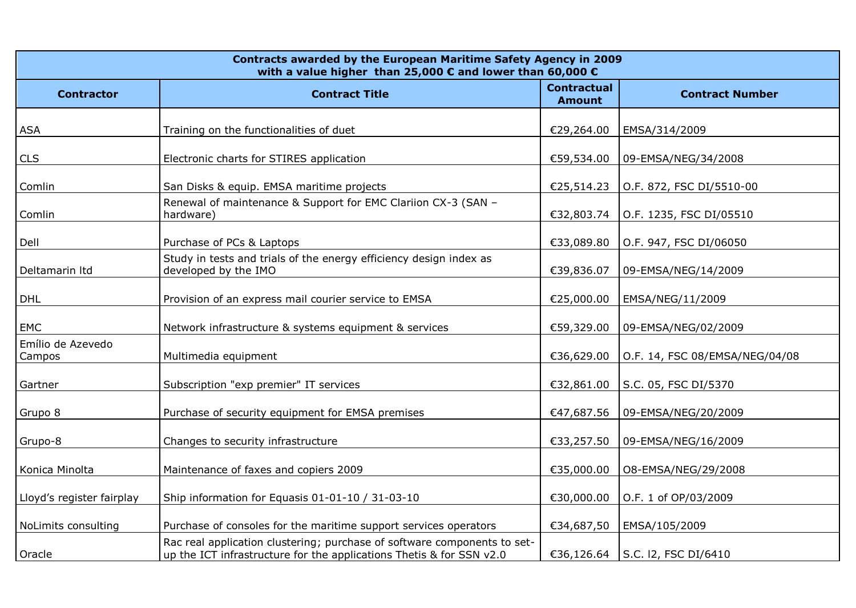| Contracts awarded by the European Maritime Safety Agency in 2009<br>with a value higher than 25,000 $\epsilon$ and lower than 60,000 $\epsilon$ |                                                                                                                                                  |                                     |                                |  |
|-------------------------------------------------------------------------------------------------------------------------------------------------|--------------------------------------------------------------------------------------------------------------------------------------------------|-------------------------------------|--------------------------------|--|
| <b>Contractor</b>                                                                                                                               | <b>Contract Title</b>                                                                                                                            | <b>Contractual</b><br><b>Amount</b> | <b>Contract Number</b>         |  |
| <b>ASA</b>                                                                                                                                      | Training on the functionalities of duet                                                                                                          | €29,264.00                          | EMSA/314/2009                  |  |
| <b>CLS</b>                                                                                                                                      | Electronic charts for STIRES application                                                                                                         | €59,534.00                          | 09-EMSA/NEG/34/2008            |  |
| Comlin                                                                                                                                          | San Disks & equip. EMSA maritime projects                                                                                                        | €25,514.23                          | O.F. 872, FSC DI/5510-00       |  |
| Comlin                                                                                                                                          | Renewal of maintenance & Support for EMC Clariion CX-3 (SAN -<br>hardware)                                                                       | €32,803.74                          | O.F. 1235, FSC DI/05510        |  |
| Dell                                                                                                                                            | Purchase of PCs & Laptops                                                                                                                        | €33,089.80                          | O.F. 947, FSC DI/06050         |  |
| Deltamarin Itd                                                                                                                                  | Study in tests and trials of the energy efficiency design index as<br>developed by the IMO                                                       | €39,836.07                          | 09-EMSA/NEG/14/2009            |  |
| <b>DHL</b>                                                                                                                                      | Provision of an express mail courier service to EMSA                                                                                             | €25,000.00                          | EMSA/NEG/11/2009               |  |
| EMC                                                                                                                                             | Network infrastructure & systems equipment & services                                                                                            | €59,329.00                          | 09-EMSA/NEG/02/2009            |  |
| Emílio de Azevedo<br>Campos                                                                                                                     | Multimedia equipment                                                                                                                             | €36,629.00                          | O.F. 14, FSC 08/EMSA/NEG/04/08 |  |
| Gartner                                                                                                                                         | Subscription "exp premier" IT services                                                                                                           | €32,861.00                          | S.C. 05, FSC DI/5370           |  |
| Grupo 8                                                                                                                                         | Purchase of security equipment for EMSA premises                                                                                                 | €47,687.56                          | 09-EMSA/NEG/20/2009            |  |
| Grupo-8                                                                                                                                         | Changes to security infrastructure                                                                                                               | €33,257.50                          | 09-EMSA/NEG/16/2009            |  |
| Konica Minolta                                                                                                                                  | Maintenance of faxes and copiers 2009                                                                                                            | €35,000.00                          | 08-EMSA/NEG/29/2008            |  |
| Lloyd's register fairplay                                                                                                                       | Ship information for Equasis 01-01-10 / 31-03-10                                                                                                 | €30,000.00                          | O.F. 1 of OP/03/2009           |  |
| NoLimits consulting                                                                                                                             | Purchase of consoles for the maritime support services operators                                                                                 | €34,687,50                          | EMSA/105/2009                  |  |
| Oracle                                                                                                                                          | Rac real application clustering; purchase of software components to set-<br>up the ICT infrastructure for the applications Thetis & for SSN v2.0 | €36,126.64                          | S.C. 12, FSC DI/6410           |  |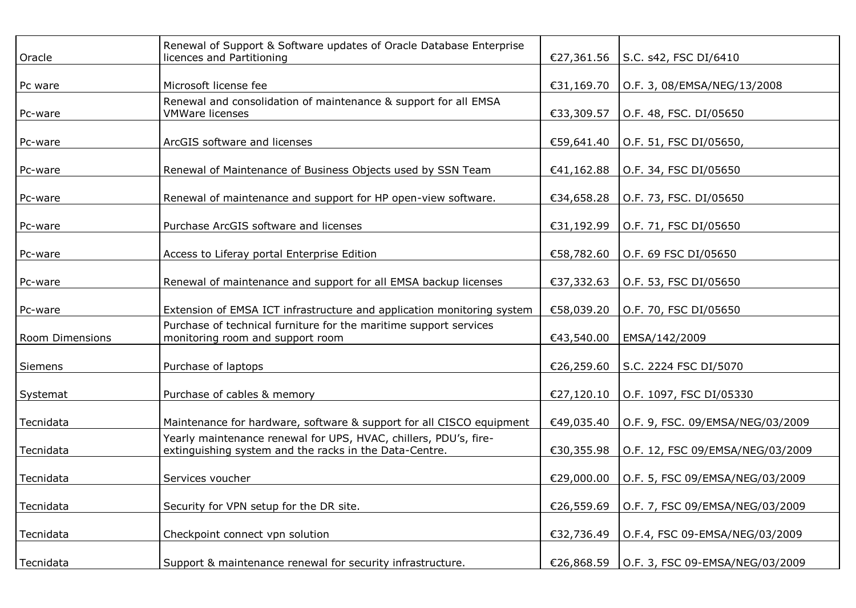| Oracle          | Renewal of Support & Software updates of Oracle Database Enterprise<br>licences and Partitioning                           | €27,361.56 | S.C. s42, FSC DI/6410            |
|-----------------|----------------------------------------------------------------------------------------------------------------------------|------------|----------------------------------|
| Pc ware         | Microsoft license fee                                                                                                      | €31,169.70 | O.F. 3, 08/EMSA/NEG/13/2008      |
| Pc-ware         | Renewal and consolidation of maintenance & support for all EMSA<br><b>VMWare licenses</b>                                  | €33,309.57 | O.F. 48, FSC. DI/05650           |
| Pc-ware         | ArcGIS software and licenses                                                                                               | €59,641.40 | O.F. 51, FSC DI/05650,           |
| Pc-ware         | Renewal of Maintenance of Business Objects used by SSN Team                                                                | €41,162.88 | O.F. 34, FSC DI/05650            |
| Pc-ware         | Renewal of maintenance and support for HP open-view software.                                                              | €34,658.28 | O.F. 73, FSC. DI/05650           |
| Pc-ware         | Purchase ArcGIS software and licenses                                                                                      | €31,192.99 | O.F. 71, FSC DI/05650            |
| Pc-ware         | Access to Liferay portal Enterprise Edition                                                                                | €58,782.60 | O.F. 69 FSC DI/05650             |
| Pc-ware         | Renewal of maintenance and support for all EMSA backup licenses                                                            | €37,332.63 | O.F. 53, FSC DI/05650            |
| Pc-ware         | Extension of EMSA ICT infrastructure and application monitoring system                                                     | €58,039.20 | O.F. 70, FSC DI/05650            |
| Room Dimensions | Purchase of technical furniture for the maritime support services<br>monitoring room and support room                      | €43,540.00 | EMSA/142/2009                    |
| Siemens         | Purchase of laptops                                                                                                        | €26,259.60 | S.C. 2224 FSC DI/5070            |
| Systemat        | Purchase of cables & memory                                                                                                | €27,120.10 | O.F. 1097, FSC DI/05330          |
| Tecnidata       | Maintenance for hardware, software & support for all CISCO equipment                                                       | €49,035.40 | O.F. 9, FSC. 09/EMSA/NEG/03/2009 |
| Tecnidata       | Yearly maintenance renewal for UPS, HVAC, chillers, PDU's, fire-<br>extinguishing system and the racks in the Data-Centre. | €30,355.98 | O.F. 12, FSC 09/EMSA/NEG/03/2009 |
| Tecnidata       | Services voucher                                                                                                           | €29,000.00 | O.F. 5, FSC 09/EMSA/NEG/03/2009  |
| Tecnidata       | Security for VPN setup for the DR site.                                                                                    | €26,559.69 | O.F. 7, FSC 09/EMSA/NEG/03/2009  |
| Tecnidata       | Checkpoint connect vpn solution                                                                                            | €32,736.49 | O.F.4, FSC 09-EMSA/NEG/03/2009   |
| Tecnidata       | Support & maintenance renewal for security infrastructure.                                                                 | €26,868.59 | O.F. 3, FSC 09-EMSA/NEG/03/2009  |